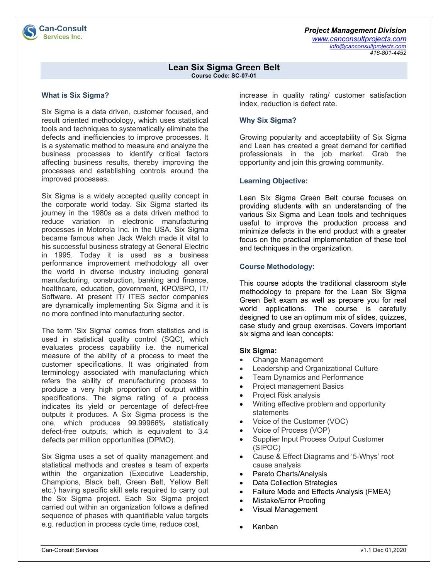*Project Management Division www.canconsultprojects.com info@canconsultprojects.com 416-801-4452*

#### **Lean Six Sigma Green Belt Course Code: SC-07-01**

## **What is Six Sigma?**

Six Sigma is a data driven, customer focused, and result oriented methodology, which uses statistical tools and techniques to systematically eliminate the defects and inefficiencies to improve processes. It is a systematic method to measure and analyze the business processes to identify critical factors affecting business results, thereby improving the processes and establishing controls around the improved processes.

Six Sigma is a widely accepted quality concept in the corporate world today. Six Sigma started its journey in the 1980s as a data driven method to reduce variation in electronic manufacturing processes in Motorola Inc. in the USA. Six Sigma became famous when Jack Welch made it vital to his successful business strategy at General Electric in 1995. Today it is used as a business performance improvement methodology all over the world in diverse industry including general manufacturing, construction, banking and finance, healthcare, education, government, KPO/BPO, IT/ Software. At present IT/ ITES sector companies are dynamically implementing Six Sigma and it is no more confined into manufacturing sector.

The term 'Six Sigma' comes from statistics and is used in statistical quality control (SQC), which evaluates process capability i.e. the numerical measure of the ability of a process to meet the customer specifications. It was originated from terminology associated with manufacturing which refers the ability of manufacturing process to produce a very high proportion of output within specifications. The sigma rating of a process indicates its yield or percentage of defect-free outputs it produces. A Six Sigma process is the one, which produces 99.99966% statistically defect-free outputs, which is equivalent to 3.4 defects per million opportunities (DPMO).

Six Sigma uses a set of quality management and statistical methods and creates a team of experts within the organization (Executive Leadership, Champions, Black belt, Green Belt, Yellow Belt etc.) having specific skill sets required to carry out the Six Sigma project. Each Six Sigma project carried out within an organization follows a defined sequence of phases with quantifiable value targets e.g. reduction in process cycle time, reduce cost,

increase in quality rating/ customer satisfaction index, reduction is defect rate.

# **Why Six Sigma?**

Growing popularity and acceptability of Six Sigma and Lean has created a great demand for certified professionals in the job market. Grab the opportunity and join this growing community.

# **Learning Objective:**

Lean Six Sigma Green Belt course focuses on providing students with an understanding of the various Six Sigma and Lean tools and techniques useful to improve the production process and minimize defects in the end product with a greater focus on the practical implementation of these tool and techniques in the organization.

# **Course Methodology:**

This course adopts the traditional classroom style methodology to prepare for the Lean Six Sigma Green Belt exam as well as prepare you for real world applications. The course is carefully designed to use an optimum mix of slides, quizzes, case study and group exercises. Covers important six sigma and lean concepts:

### **Six Sigma:**

- Change Management
- Leadership and Organizational Culture
- Team Dynamics and Performance
- Project management Basics
- Project Risk analysis
- Writing effective problem and opportunity statements
- Voice of the Customer (VOC)
- Voice of Process (VOP)
- Supplier Input Process Output Customer (SIPOC)
- Cause & Effect Diagrams and '5-Whys' root cause analysis
- Pareto Charts/Analysis
- Data Collection Strategies
- Failure Mode and Effects Analysis (FMEA)
- Mistake/Error Proofing
- Visual Management
- Kanban